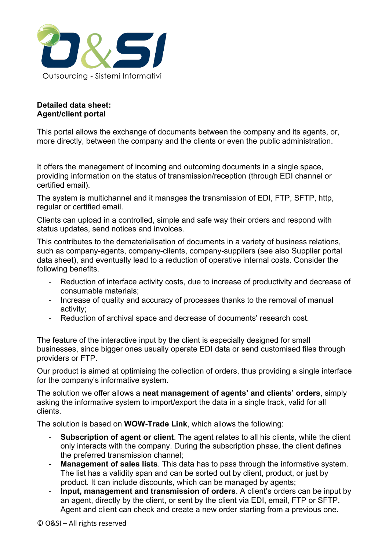

## **Detailed data sheet: Agent/client portal**

This portal allows the exchange of documents between the company and its agents, or, more directly, between the company and the clients or even the public administration.

It offers the management of incoming and outcoming documents in a single space, providing information on the status of transmission/reception (through EDI channel or certified email).

The system is multichannel and it manages the transmission of EDI, FTP, SFTP, http, regular or certified email.

Clients can upload in a controlled, simple and safe way their orders and respond with status updates, send notices and invoices.

This contributes to the dematerialisation of documents in a variety of business relations, such as company-agents, company-clients, company-suppliers (see also Supplier portal data sheet), and eventually lead to a reduction of operative internal costs. Consider the following benefits.

- Reduction of interface activity costs, due to increase of productivity and decrease of consumable materials;
- Increase of quality and accuracy of processes thanks to the removal of manual activity;
- Reduction of archival space and decrease of documents' research cost.

The feature of the interactive input by the client is especially designed for small businesses, since bigger ones usually operate EDI data or send customised files through providers or FTP.

Our product is aimed at optimising the collection of orders, thus providing a single interface for the company's informative system.

The solution we offer allows a **neat management of agents' and clients' orders**, simply asking the informative system to import/export the data in a single track, valid for all clients.

The solution is based on **WOW-Trade Link**, which allows the following:

- **Subscription of agent or client**. The agent relates to all his clients, while the client only interacts with the company. During the subscription phase, the client defines the preferred transmission channel;
- **Management of sales lists**. This data has to pass through the informative system. The list has a validity span and can be sorted out by client, product, or just by product. It can include discounts, which can be managed by agents;
- **Input, management and transmission of orders**. A client's orders can be input by an agent, directly by the client, or sent by the client via EDI, email, FTP or SFTP. Agent and client can check and create a new order starting from a previous one.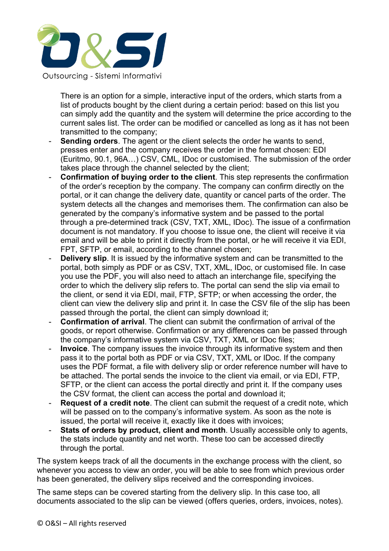

There is an option for a simple, interactive input of the orders, which starts from a list of products bought by the client during a certain period: based on this list you can simply add the quantity and the system will determine the price according to the current sales list. The order can be modified or cancelled as long as it has not been transmitted to the company;

- **Sending orders**. The agent or the client selects the order he wants to send, presses enter and the company receives the order in the format chosen: EDI (Euritmo, 90.1, 96A…) CSV, CML, IDoc or customised. The submission of the order takes place through the channel selected by the client;
- **Confirmation of buying order to the client**. This step represents the confirmation of the order's reception by the company. The company can confirm directly on the portal, or it can change the delivery date, quantity or cancel parts of the order. The system detects all the changes and memorises them. The confirmation can also be generated by the company's informative system and be passed to the portal through a pre-determined track (CSV, TXT, XML, IDoc). The issue of a confirmation document is not mandatory. If you choose to issue one, the client will receive it via email and will be able to print it directly from the portal, or he will receive it via EDI, FPT, SFTP, or email, according to the channel chosen;
- **Delivery slip**. It is issued by the informative system and can be transmitted to the portal, both simply as PDF or as CSV, TXT, XML, IDoc, or customised file. In case you use the PDF, you will also need to attach an interchange file, specifying the order to which the delivery slip refers to. The portal can send the slip via email to the client, or send it via EDI, mail, FTP, SFTP; or when accessing the order, the client can view the delivery slip and print it. In case the CSV file of the slip has been passed through the portal, the client can simply download it;
- **Confirmation of arrival**. The client can submit the confirmation of arrival of the goods, or report otherwise. Confirmation or any differences can be passed through the company's informative system via CSV, TXT, XML or IDoc files;
- **Invoice**. The company issues the invoice through its informative system and then pass it to the portal both as PDF or via CSV, TXT, XML or IDoc. If the company uses the PDF format, a file with delivery slip or order reference number will have to be attached. The portal sends the invoice to the client via email, or via EDI, FTP, SFTP, or the client can access the portal directly and print it. If the company uses the CSV format, the client can access the portal and download it;
- **Request of a credit note**. The client can submit the request of a credit note, which will be passed on to the company's informative system. As soon as the note is issued, the portal will receive it, exactly like it does with invoices;
- **Stats of orders by product, client and month**. Usually accessible only to agents, the stats include quantity and net worth. These too can be accessed directly through the portal.

The system keeps track of all the documents in the exchange process with the client, so whenever you access to view an order, you will be able to see from which previous order has been generated, the delivery slips received and the corresponding invoices.

The same steps can be covered starting from the delivery slip. In this case too, all documents associated to the slip can be viewed (offers queries, orders, invoices, notes).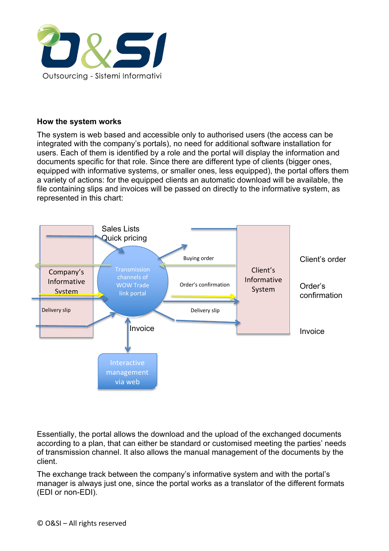

## **How the system works**

The system is web based and accessible only to authorised users (the access can be integrated with the company's portals), no need for additional software installation for users. Each of them is identified by a role and the portal will display the information and documents specific for that role. Since there are different type of clients (bigger ones, equipped with informative systems, or smaller ones, less equipped), the portal offers them a variety of actions: for the equipped clients an automatic download will be available, the file containing slips and invoices will be passed on directly to the informative system, as represented in this chart:



Essentially, the portal allows the download and the upload of the exchanged documents according to a plan, that can either be standard or customised meeting the parties' needs of transmission channel. It also allows the manual management of the documents by the client.

The exchange track between the company's informative system and with the portal's manager is always just one, since the portal works as a translator of the different formats (EDI or non-EDI).